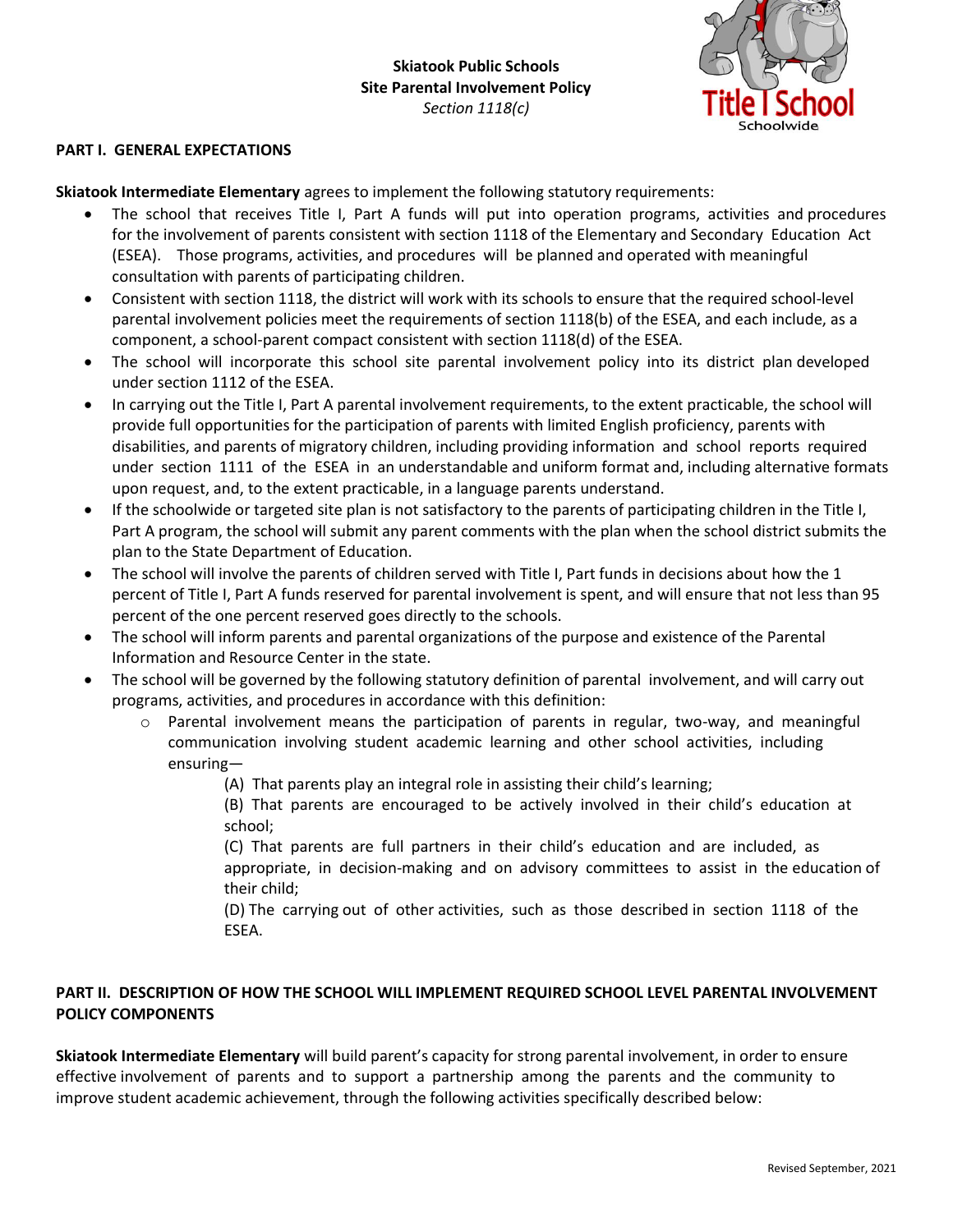

## **PART I. GENERAL EXPECTATIONS**

**Skiatook Intermediate Elementary** agrees to implement the following statutory requirements:

- The school that receives Title I, Part A funds will put into operation programs, activities and procedures for the involvement of parents consistent with section 1118 of the Elementary and Secondary Education Act (ESEA). Those programs, activities, and procedures will be planned and operated with meaningful consultation with parents of participating children.
- Consistent with section 1118, the district will work with its schools to ensure that the required school-level parental involvement policies meet the requirements of section 1118(b) of the ESEA, and each include, as a component, a school-parent compact consistent with section 1118(d) of the ESEA.
- The school will incorporate this school site parental involvement policy into its district plan developed under section 1112 of the ESEA.
- In carrying out the Title I, Part A parental involvement requirements, to the extent practicable, the school will provide full opportunities for the participation of parents with limited English proficiency, parents with disabilities, and parents of migratory children, including providing information and school reports required under section 1111 of the ESEA in an understandable and uniform format and, including alternative formats upon request, and, to the extent practicable, in a language parents understand.
- If the schoolwide or targeted site plan is not satisfactory to the parents of participating children in the Title I, Part A program, the school will submit any parent comments with the plan when the school district submits the plan to the State Department of Education.
- The school will involve the parents of children served with Title I, Part funds in decisions about how the 1 percent of Title I, Part A funds reserved for parental involvement is spent, and will ensure that not less than 95 percent of the one percent reserved goes directly to the schools.
- The school will inform parents and parental organizations of the purpose and existence of the Parental Information and Resource Center in the state.
- The school will be governed by the following statutory definition of parental involvement, and will carry out programs, activities, and procedures in accordance with this definition:
	- $\circ$  Parental involvement means the participation of parents in regular, two-way, and meaningful communication involving student academic learning and other school activities, including ensuring—
		- (A) That parents play an integral role in assisting their child's learning;
		- (B) That parents are encouraged to be actively involved in their child's education at school;
		- (C) That parents are full partners in their child's education and are included, as appropriate, in decision-making and on advisory committees to assist in the education of their child;
		- (D) The carrying out of other activities, such as those described in section 1118 of the ESEA.

## **PART II. DESCRIPTION OF HOW THE SCHOOL WILL IMPLEMENT REQUIRED SCHOOL LEVEL PARENTAL INVOLVEMENT POLICY COMPONENTS**

**Skiatook Intermediate Elementary** will build parent's capacity for strong parental involvement, in order to ensure effective involvement of parents and to support a partnership among the parents and the community to improve student academic achievement, through the following activities specifically described below: